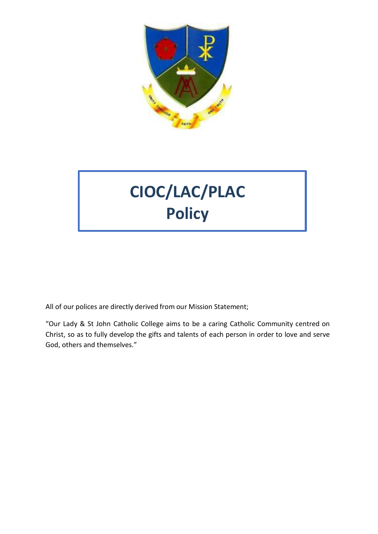

# **CIOC/LAC/PLAC Policy**

All of our polices are directly derived from our Mission Statement;

"Our Lady & St John Catholic College aims to be a caring Catholic Community centred on Christ, so as to fully develop the gifts and talents of each person in order to love and serve God, others and themselves."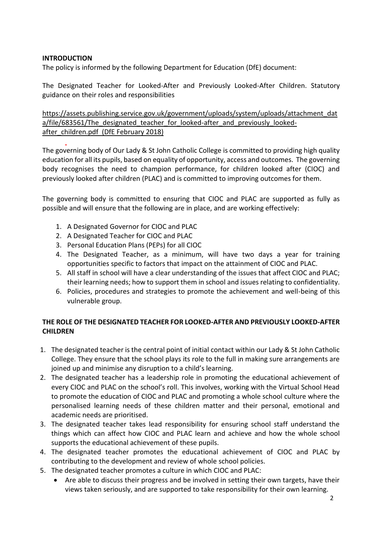### **INTRODUCTION**

The policy is informed by the following Department for Education (DfE) document:

The Designated Teacher for Looked-After and Previously Looked-After Children. Statutory guidance on their roles and responsibilities

[https://assets.publishing.service.gov.uk/government/uploads/system/uploads/attachment\\_dat](https://assets.publishing.service.gov.uk/government/uploads/system/uploads/attachment_data/file/683561/The_designated_teacher_for_looked-after_and_previously_looked-after_children.pdf) a/file/683561/The designated teacher for looked-after and previously looked[after\\_children.pdf](https://assets.publishing.service.gov.uk/government/uploads/system/uploads/attachment_data/file/683561/The_designated_teacher_for_looked-after_and_previously_looked-after_children.pdf) (DfE February 2018)

The governing body of Our Lady & St John Catholic College is committed to providing high quality education for all its pupils, based on equality of opportunity, access and outcomes. The governing body recognises the need to champion performance, for children looked after (CIOC) and previously looked after children (PLAC) and is committed to improving outcomes for them.

The governing body is committed to ensuring that CIOC and PLAC are supported as fully as possible and will ensure that the following are in place, and are working effectively:

- 1. A Designated Governor for CIOC and PLAC
- 2. A Designated Teacher for CIOC and PLAC
- 3. Personal Education Plans (PEPs) for all CIOC
- 4. The Designated Teacher, as a minimum, will have two days a year for training opportunities specific to factors that impact on the attainment of CIOC and PLAC.
- 5. All staff in school will have a clear understanding of the issues that affect CIOC and PLAC; their learning needs; how to support them in school and issues relating to confidentiality.
- 6. Policies, procedures and strategies to promote the achievement and well-being of this vulnerable group.

#### **THE ROLE OF THE DESIGNATED TEACHER FOR LOOKED-AFTER AND PREVIOUSLY LOOKED-AFTER CHILDREN**

- 1. The designated teacher is the central point of initial contact within our Lady & St John Catholic College. They ensure that the school plays its role to the full in making sure arrangements are joined up and minimise any disruption to a child's learning.
- 2. The designated teacher has a leadership role in promoting the educational achievement of every CIOC and PLAC on the school's roll. This involves, working with the Virtual School Head to promote the education of CIOC and PLAC and promoting a whole school culture where the personalised learning needs of these children matter and their personal, emotional and academic needs are prioritised.
- 3. The designated teacher takes lead responsibility for ensuring school staff understand the things which can affect how CIOC and PLAC learn and achieve and how the whole school supports the educational achievement of these pupils.
- 4. The designated teacher promotes the educational achievement of CIOC and PLAC by contributing to the development and review of whole school policies.
- 5. The designated teacher promotes a culture in which CIOC and PLAC:
	- Are able to discuss their progress and be involved in setting their own targets, have their views taken seriously, and are supported to take responsibility for their own learning.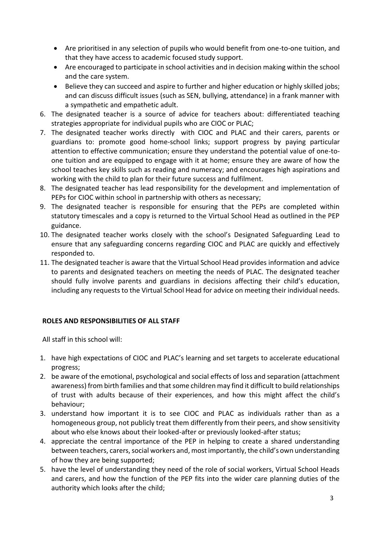- Are prioritised in any selection of pupils who would benefit from one-to-one tuition, and that they have access to academic focused study support.
- Are encouraged to participate in school activities and in decision making within the school and the care system.
- Believe they can succeed and aspire to further and higher education or highly skilled jobs; and can discuss difficult issues (such as SEN, bullying, attendance) in a frank manner with a sympathetic and empathetic adult.
- 6. The designated teacher is a source of advice for teachers about: differentiated teaching strategies appropriate for individual pupils who are CIOC or PLAC;
- 7. The designated teacher works directly with CIOC and PLAC and their carers, parents or guardians to: promote good home-school links; support progress by paying particular attention to effective communication; ensure they understand the potential value of one-toone tuition and are equipped to engage with it at home; ensure they are aware of how the school teaches key skills such as reading and numeracy; and encourages high aspirations and working with the child to plan for their future success and fulfilment.
- 8. The designated teacher has lead responsibility for the development and implementation of PEPs for CIOC within school in partnership with others as necessary;
- 9. The designated teacher is responsible for ensuring that the PEPs are completed within statutory timescales and a copy is returned to the Virtual School Head as outlined in the PEP guidance.
- 10. The designated teacher works closely with the school's Designated Safeguarding Lead to ensure that any safeguarding concerns regarding CIOC and PLAC are quickly and effectively responded to.
- 11. The designated teacher is aware that the Virtual School Head provides information and advice to parents and designated teachers on meeting the needs of PLAC. The designated teacher should fully involve parents and guardians in decisions affecting their child's education, including any requests to the Virtual School Head for advice on meeting their individual needs.

## **ROLES AND RESPONSIBILITIES OF ALL STAFF**

All staff in this school will:

- 1. have high expectations of CIOC and PLAC's learning and set targets to accelerate educational progress;
- 2. be aware of the emotional, psychological and social effects of loss and separation (attachment awareness) from birth families and that some children may find it difficult to build relationships of trust with adults because of their experiences, and how this might affect the child's behaviour;
- 3. understand how important it is to see CIOC and PLAC as individuals rather than as a homogeneous group, not publicly treat them differently from their peers, and show sensitivity about who else knows about their looked-after or previously looked-after status;
- 4. appreciate the central importance of the PEP in helping to create a shared understanding between teachers, carers, social workers and, most importantly, the child's own understanding of how they are being supported;
- 5. have the level of understanding they need of the role of social workers, Virtual School Heads and carers, and how the function of the PEP fits into the wider care planning duties of the authority which looks after the child;